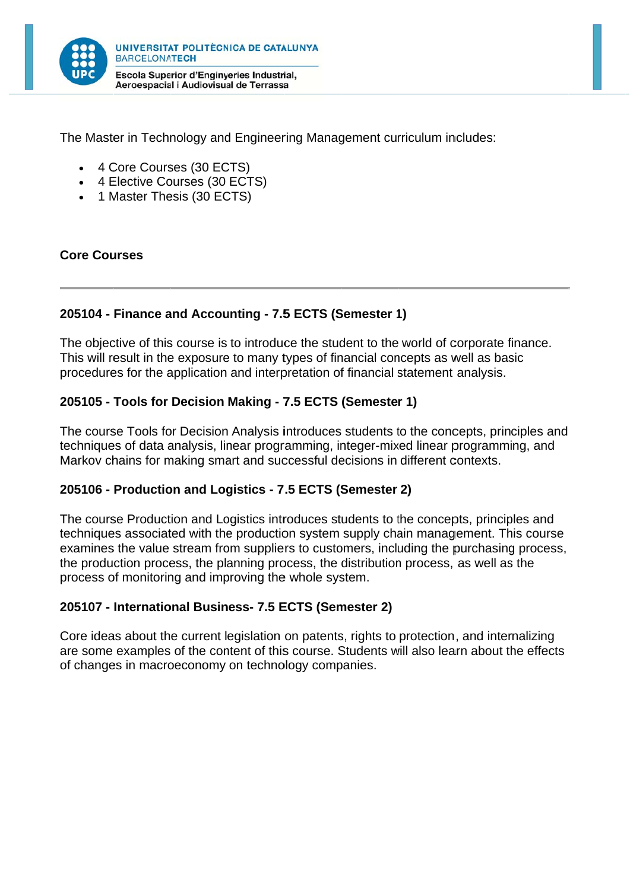

The Master in Technology and Engineering Management curriculum includes:

- 4 Core Courses (30 ECTS)
- 4 Elective Courses (30 ECTS)
- 1 Master Thesis (30 ECTS)

#### **Core Courses**

### 205104 - Finance and Accounting - 7.5 ECTS (Semester 1)

The objective of this course is to introduce the student to the world of corporate finance. This will result in the exposure to many types of financial concepts as well as basic procedures for the application and interpretation of financial statement analysis.

### 205105 - Tools for Decision Making - 7.5 ECTS (Semester 1)

The course Tools for Decision Analysis introduces students to the concepts, principles and techniques of data analysis, linear programming, integer-mixed linear programming, and Markov chains for making smart and successful decisions in different contexts.

#### 205106 - Production and Logistics - 7.5 ECTS (Semester 2)

The course Production and Logistics introduces students to the concepts, principles and techniques associated with the production system supply chain management. This course examines the value stream from suppliers to customers, including the purchasing process, the production process, the planning process, the distribution process, as well as the process of monitoring and improving the whole system.

#### 205107 - International Business- 7.5 ECTS (Semester 2)

Core ideas about the current legislation on patents, rights to protection, and internalizing are some examples of the content of this course. Students will also learn about the effects of changes in macroeconomy on technology companies.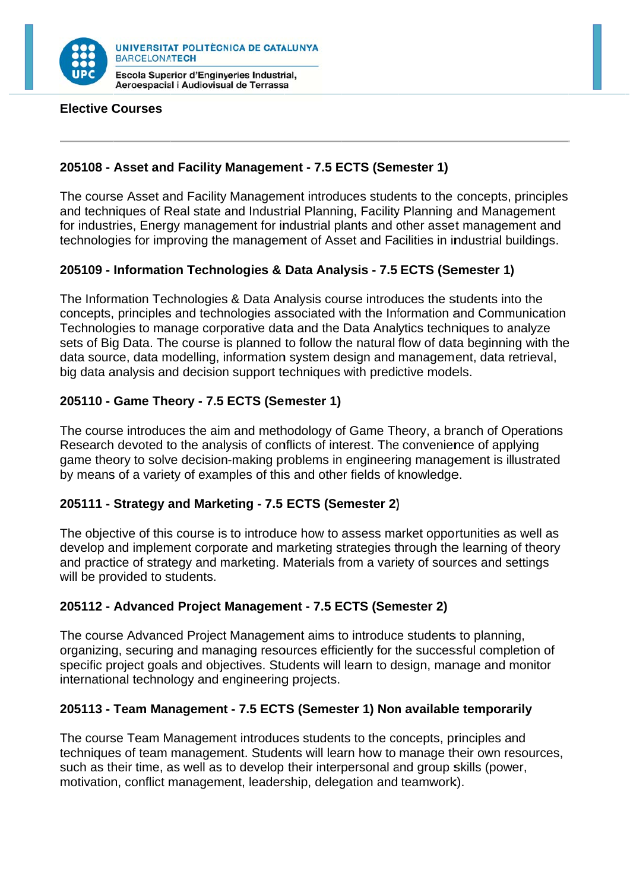

Aeroespacial i Audiovisual de Terrassa

#### **Elective Courses**

## 205108 - Asset and Facility Management - 7.5 ECTS (Semester 1)

The course Asset and Facility Management introduces students to the concepts, principles and techniques of Real state and Industrial Planning, Facility Planning and Management for industries. Energy management for industrial plants and other asset management and technologies for improving the management of Asset and Facilities in industrial buildings.

# 205109 - Information Technologies & Data Analysis - 7.5 ECTS (Semester 1)

The Information Technologies & Data Analysis course introduces the students into the concepts, principles and technologies associated with the Information and Communication Technologies to manage corporative data and the Data Analytics techniques to analyze sets of Big Data. The course is planned to follow the natural flow of data beginning with the data source, data modelling, information system design and management, data retrieval. big data analysis and decision support techniques with predictive models.

# 205110 - Game Theory - 7.5 ECTS (Semester 1)

The course introduces the aim and methodology of Game Theory, a branch of Operations Research devoted to the analysis of conflicts of interest. The convenience of applying game theory to solve decision-making problems in engineering management is illustrated by means of a variety of examples of this and other fields of knowledge.

# 205111 - Strategy and Marketing - 7.5 ECTS (Semester 2)

The objective of this course is to introduce how to assess market opportunities as well as develop and implement corporate and marketing strategies through the learning of theory and practice of strategy and marketing. Materials from a variety of sources and settings will be provided to students.

#### 205112 - Advanced Project Management - 7.5 ECTS (Semester 2)

The course Advanced Project Management aims to introduce students to planning, organizing, securing and managing resources efficiently for the successful completion of specific project goals and objectives. Students will learn to design, manage and monitor international technology and engineering projects.

#### 205113 - Team Management - 7.5 ECTS (Semester 1) Non available temporarily

The course Team Management introduces students to the concepts, principles and techniques of team management. Students will learn how to manage their own resources. such as their time, as well as to develop their interpersonal and group skills (power, motivation, conflict management, leadership, delegation and teamwork).